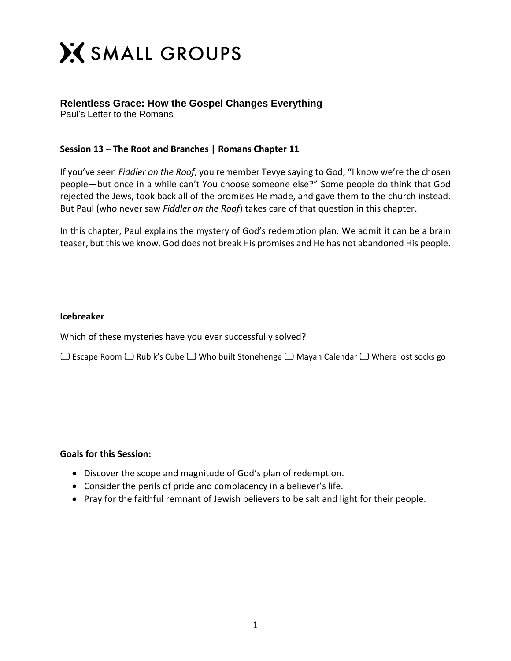

## **Relentless Grace: How the Gospel Changes Everything**

Paul's Letter to the Romans

## **Session 13 – The Root and Branches | Romans Chapter 11**

If you've seen *Fiddler on the Roof*, you remember Tevye saying to God, "I know we're the chosen people—but once in a while can't You choose someone else?" Some people do think that God rejected the Jews, took back all of the promises He made, and gave them to the church instead. But Paul (who never saw *Fiddler on the Roof*) takes care of that question in this chapter.

In this chapter, Paul explains the mystery of God's redemption plan. We admit it can be a brain teaser, but this we know. God does not break His promises and He has not abandoned His people.

## **Icebreaker**

Which of these mysteries have you ever successfully solved?

 $\Box$  Escape Room  $\Box$  Rubik's Cube  $\Box$  Who built Stonehenge  $\Box$  Mayan Calendar  $\Box$  Where lost socks go

## **Goals for this Session:**

- Discover the scope and magnitude of God's plan of redemption.
- Consider the perils of pride and complacency in a believer's life.
- Pray for the faithful remnant of Jewish believers to be salt and light for their people.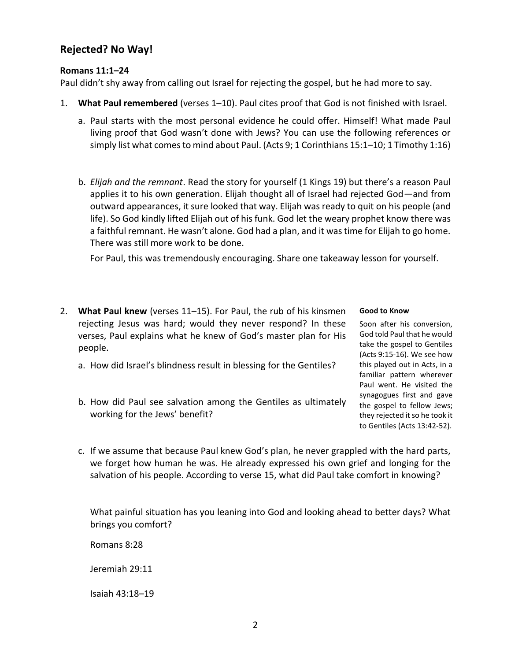# **Rejected? No Way!**

## **Romans 11:1–24**

Paul didn't shy away from calling out Israel for rejecting the gospel, but he had more to say.

- 1. **What Paul remembered** (verses 1–10). Paul cites proof that God is not finished with Israel.
	- a. Paul starts with the most personal evidence he could offer. Himself! What made Paul living proof that God wasn't done with Jews? You can use the following references or simply list what comes to mind about Paul. (Acts 9; 1 Corinthians 15:1–10; 1 Timothy 1:16)
	- b. *Elijah and the remnant*. Read the story for yourself (1 Kings 19) but there's a reason Paul applies it to his own generation. Elijah thought all of Israel had rejected God—and from outward appearances, it sure looked that way. Elijah was ready to quit on his people (and life). So God kindly lifted Elijah out of his funk. God let the weary prophet know there was a faithful remnant. He wasn't alone. God had a plan, and it was time for Elijah to go home. There was still more work to be done.

For Paul, this was tremendously encouraging. Share one takeaway lesson for yourself.

- 2. **What Paul knew** (verses 11–15). For Paul, the rub of his kinsmen rejecting Jesus was hard; would they never respond? In these verses, Paul explains what he knew of God's master plan for His people.
	- a. How did Israel's blindness result in blessing for the Gentiles?
	- b. How did Paul see salvation among the Gentiles as ultimately working for the Jews' benefit?

#### **Good to Know**

Soon after his conversion, God told Paul that he would take the gospel to Gentiles (Acts 9:15-16). We see how this played out in Acts, in a familiar pattern wherever Paul went. He visited the synagogues first and gave the gospel to fellow Jews; they rejected it so he took it to Gentiles (Acts 13:42-52).

c. If we assume that because Paul knew God's plan, he never grappled with the hard parts, we forget how human he was. He already expressed his own grief and longing for the salvation of his people. According to verse 15, what did Paul take comfort in knowing?

What painful situation has you leaning into God and looking ahead to better days? What brings you comfort?

Romans 8:28

Jeremiah 29:11

Isaiah 43:18–19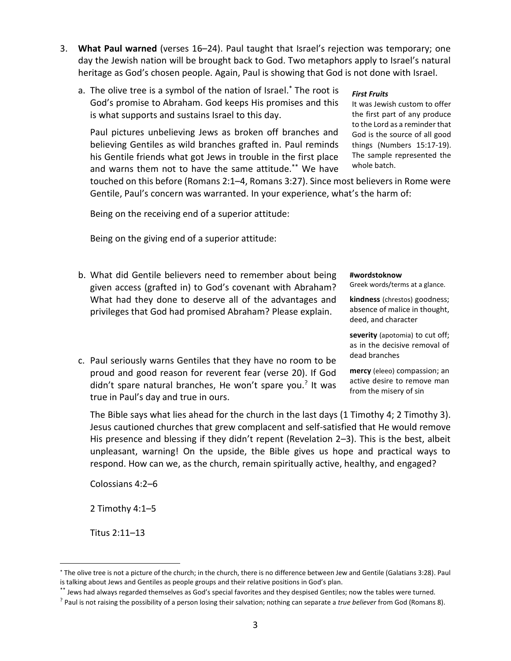3

- 3. **What Paul warned** (verses 16–24). Paul taught that Israel's rejection was temporary; one day the Jewish nation will be brought back to God. Two metaphors apply to Israel's natural heritage as God's chosen people. Again, Paul is showing that God is not done with Israel.
	- a. The olive tree is a symbol of the nation of Israel.\* The root is God's promise to Abraham. God keeps His promises and this is what supports and sustains Israel to this day.

Paul pictures unbelieving Jews as broken off branches and believing Gentiles as wild branches grafted in. Paul reminds his Gentile friends what got Jews in trouble in the first place and warns them not to have the same attitude.\*\* We have

#### *First Fruits*

It was Jewish custom to offer the first part of any produce to the Lord as a reminder that God is the source of all good things (Numbers 15:17-19). The sample represented the whole batch.

touched on this before (Romans 2:1–4, Romans 3:27). Since most believers in Rome were Gentile, Paul's concern was warranted. In your experience, what's the harm of:

Being on the receiving end of a superior attitude:

Being on the giving end of a superior attitude:

- b. What did Gentile believers need to remember about being given access (grafted in) to God's covenant with Abraham? What had they done to deserve all of the advantages and privileges that God had promised Abraham? Please explain.
- c. Paul seriously warns Gentiles that they have no room to be proud and good reason for reverent fear (verse 20). If God didn't spare natural branches, He won't spare you.? It was true in Paul's day and true in ours.

#### **#wordstoknow**

Greek words/terms at a glance.

**kindness** (chrestos) goodness; absence of malice in thought, deed, and character

**severity** (apotomia) to cut off; as in the decisive removal of dead branches

**mercy** (eleeo) compassion; an active desire to remove man from the misery of sin

The Bible says what lies ahead for the church in the last days (1 Timothy 4; 2 Timothy 3). Jesus cautioned churches that grew complacent and self-satisfied that He would remove His presence and blessing if they didn't repent (Revelation 2–3). This is the best, albeit unpleasant, warning! On the upside, the Bible gives us hope and practical ways to respond. How can we, as the church, remain spiritually active, healthy, and engaged?

Colossians 4:2–6

2 Timothy 4:1–5

Titus 2:11–13

 $\overline{a}$ 

<sup>\*</sup> The olive tree is not a picture of the church; in the church, there is no difference between Jew and Gentile (Galatians 3:28). Paul is talking about Jews and Gentiles as people groups and their relative positions in God's plan.

<sup>\*\*</sup> Jews had always regarded themselves as God's special favorites and they despised Gentiles; now the tables were turned.

<sup>?</sup> Paul is not raising the possibility of a person losing their salvation; nothing can separate a *true believer* from God (Romans 8).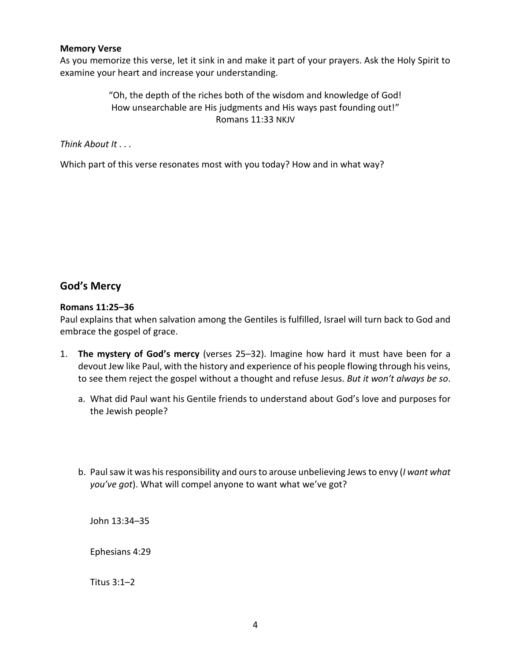### **Memory Verse**

As you memorize this verse, let it sink in and make it part of your prayers. Ask the Holy Spirit to examine your heart and increase your understanding.

## "Oh, the depth of the riches both of the wisdom and knowledge of God! How unsearchable are His judgments and His ways past founding out!" Romans 11:33 NKJV

*Think About It . . .* 

Which part of this verse resonates most with you today? How and in what way?

# **God's Mercy**

## **Romans 11:25–36**

Paul explains that when salvation among the Gentiles is fulfilled, Israel will turn back to God and embrace the gospel of grace.

- 1. **The mystery of God's mercy** (verses 25–32). Imagine how hard it must have been for a devout Jew like Paul, with the history and experience of his people flowing through his veins, to see them reject the gospel without a thought and refuse Jesus. *But it won't always be so*.
	- a. What did Paul want his Gentile friends to understand about God's love and purposes for the Jewish people?
	- b. Paul saw it was his responsibility and ours to arouse unbelieving Jewsto envy (*I want what you've got*). What will compel anyone to want what we've got?

John 13:34–35

Ephesians 4:29

Titus 3:1–2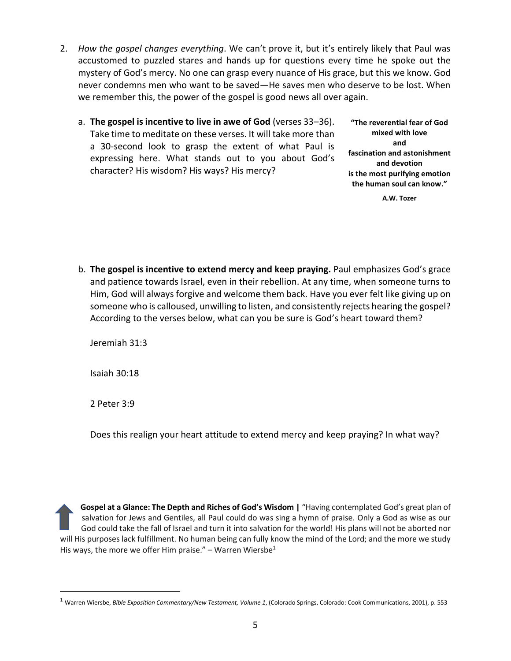- 2. *How the gospel changes everything*. We can't prove it, but it's entirely likely that Paul was accustomed to puzzled stares and hands up for questions every time he spoke out the mystery of God's mercy. No one can grasp every nuance of His grace, but this we know. God never condemns men who want to be saved—He saves men who deserve to be lost. When we remember this, the power of the gospel is good news all over again.
	- a. **The gospel is incentive to live in awe of God** (verses 33–36). Take time to meditate on these verses. It will take more than a 30-second look to grasp the extent of what Paul is expressing here. What stands out to you about God's character? His wisdom? His ways? His mercy?

**"The reverential fear of God mixed with love and fascination and astonishment and devotion is the most purifying emotion the human soul can know."**

**A.W. Tozer**

b. **The gospel is incentive to extend mercy and keep praying.** Paul emphasizes God's grace and patience towards Israel, even in their rebellion. At any time, when someone turns to Him, God will always forgive and welcome them back. Have you ever felt like giving up on someone who is calloused, unwilling to listen, and consistently rejects hearing the gospel? According to the verses below, what can you be sure is God's heart toward them?

Jeremiah 31:3

Isaiah 30:18

2 Peter 3:9

 $\overline{a}$ 

Does this realign your heart attitude to extend mercy and keep praying? In what way?

**Gospel at a Glance: The Depth and Riches of God's Wisdom |** "Having contemplated God's great plan of salvation for Jews and Gentiles, all Paul could do was sing a hymn of praise. Only a God as wise as our God could take the fall of Israel and turn it into salvation for the world! His plans will not be aborted nor will His purposes lack fulfillment. No human being can fully know the mind of the Lord; and the more we study His ways, the more we offer Him praise." – Warren Wiersbe<sup>1</sup>

<sup>1</sup> Warren Wiersbe, *Bible Exposition Commentary/New Testament, Volume 1*, (Colorado Springs, Colorado: Cook Communications, 2001), p. 553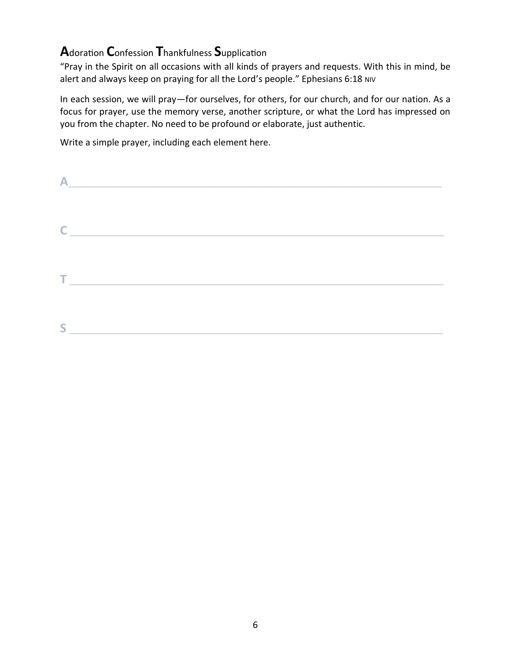# **Adoration Confession Thankfulness Supplication**

"Pray in the Spirit on all occasions with all kinds of prayers and requests. With this in mind, be alert and always keep on praying for all the Lord's people." Ephesians 6:18 NIV

In each session, we will pray-for ourselves, for others, for our church, and for our nation. As a focus for prayer, use the memory verse, another scripture, or what the Lord has impressed on you from the chapter. No need to be profound or elaborate, just authentic.

Write a simple prayer, including each element here.

|                | the control of the control of the control of the control of the control of the control of |
|----------------|-------------------------------------------------------------------------------------------|
|                |                                                                                           |
|                |                                                                                           |
|                | $\mathsf{C}$ $\qquad \qquad$                                                              |
|                |                                                                                           |
|                |                                                                                           |
| <b>College</b> |                                                                                           |
|                |                                                                                           |
|                |                                                                                           |
|                |                                                                                           |
|                |                                                                                           |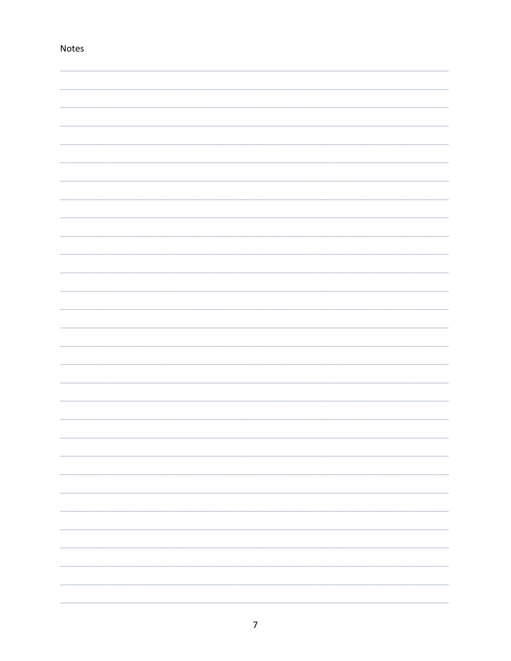| Notes |  |  |
|-------|--|--|
|       |  |  |
|       |  |  |
|       |  |  |
|       |  |  |
|       |  |  |
|       |  |  |
|       |  |  |
|       |  |  |
|       |  |  |
|       |  |  |
|       |  |  |
|       |  |  |
|       |  |  |
|       |  |  |
|       |  |  |
|       |  |  |
|       |  |  |
|       |  |  |
|       |  |  |
|       |  |  |
|       |  |  |
|       |  |  |
|       |  |  |
|       |  |  |
|       |  |  |
|       |  |  |
|       |  |  |
|       |  |  |

# $\overline{7}$